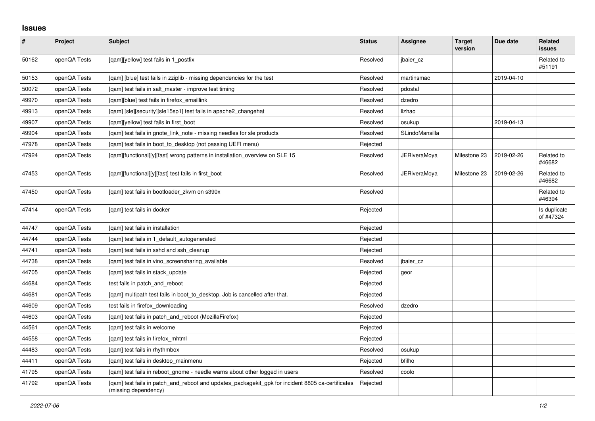## **Issues**

| $\vert$ # | Project      | <b>Subject</b>                                                                                                            | <b>Status</b> | <b>Assignee</b>     | <b>Target</b><br>version | Due date   | Related<br>issues         |
|-----------|--------------|---------------------------------------------------------------------------------------------------------------------------|---------------|---------------------|--------------------------|------------|---------------------------|
| 50162     | openQA Tests | [qam][yellow] test fails in 1_postfix                                                                                     | Resolved      | jbaier cz           |                          |            | Related to<br>#51191      |
| 50153     | openQA Tests | [qam] [blue] test fails in zziplib - missing dependencies for the test                                                    | Resolved      | martinsmac          |                          | 2019-04-10 |                           |
| 50072     | openQA Tests | [qam] test fails in salt_master - improve test timing                                                                     | Resolved      | pdostal             |                          |            |                           |
| 49970     | openQA Tests | [gam][blue] test fails in firefox emaillink                                                                               | Resolved      | dzedro              |                          |            |                           |
| 49913     | openQA Tests | [gam] [sle][security][sle15sp1] test fails in apache2 changehat                                                           | Resolved      | Ilzhao              |                          |            |                           |
| 49907     | openQA Tests | [qam][yellow] test fails in first_boot                                                                                    | Resolved      | osukup              |                          | 2019-04-13 |                           |
| 49904     | openQA Tests | [gam] test fails in gnote link note - missing needles for sle products                                                    | Resolved      | SLindoMansilla      |                          |            |                           |
| 47978     | openQA Tests | [gam] test fails in boot to desktop (not passing UEFI menu)                                                               | Rejected      |                     |                          |            |                           |
| 47924     | openQA Tests | [qam][functional][y][fast] wrong patterns in installation_overview on SLE 15                                              | Resolved      | <b>JERiveraMoya</b> | Milestone 23             | 2019-02-26 | Related to<br>#46682      |
| 47453     | openQA Tests | [qam][functional][y][fast] test fails in first_boot                                                                       | Resolved      | JERiveraMoya        | Milestone 23             | 2019-02-26 | Related to<br>#46682      |
| 47450     | openQA Tests | [gam] test fails in bootloader zkvm on s390x                                                                              | Resolved      |                     |                          |            | Related to<br>#46394      |
| 47414     | openQA Tests | [gam] test fails in docker                                                                                                | Rejected      |                     |                          |            | Is duplicate<br>of #47324 |
| 44747     | openQA Tests | [gam] test fails in installation                                                                                          | Rejected      |                     |                          |            |                           |
| 44744     | openQA Tests | [qam] test fails in 1_default_autogenerated                                                                               | Rejected      |                     |                          |            |                           |
| 44741     | openQA Tests | [gam] test fails in sshd and ssh cleanup                                                                                  | Rejected      |                     |                          |            |                           |
| 44738     | openQA Tests | [gam] test fails in vino screensharing available                                                                          | Resolved      | jbaier_cz           |                          |            |                           |
| 44705     | openQA Tests | [gam] test fails in stack update                                                                                          | Rejected      | geor                |                          |            |                           |
| 44684     | openQA Tests | test fails in patch_and_reboot                                                                                            | Rejected      |                     |                          |            |                           |
| 44681     | openQA Tests | [gam] multipath test fails in boot to desktop. Job is cancelled after that.                                               | Rejected      |                     |                          |            |                           |
| 44609     | openQA Tests | test fails in firefox downloading                                                                                         | Resolved      | dzedro              |                          |            |                           |
| 44603     | openQA Tests | [qam] test fails in patch_and_reboot (MozillaFirefox)                                                                     | Rejected      |                     |                          |            |                           |
| 44561     | openQA Tests | [gam] test fails in welcome                                                                                               | Rejected      |                     |                          |            |                           |
| 44558     | openQA Tests | [gam] test fails in firefox mhtml                                                                                         | Rejected      |                     |                          |            |                           |
| 44483     | openQA Tests | [gam] test fails in rhythmbox                                                                                             | Resolved      | osukup              |                          |            |                           |
| 44411     | openQA Tests | [qam] test fails in desktop_mainmenu                                                                                      | Rejected      | bfilho              |                          |            |                           |
| 41795     | openQA Tests | [gam] test fails in reboot gnome - needle warns about other logged in users                                               | Resolved      | coolo               |                          |            |                           |
| 41792     | openQA Tests | [gam] test fails in patch and reboot and updates packagekit gpk for incident 8805 ca-certificates<br>(missing dependency) | Rejected      |                     |                          |            |                           |